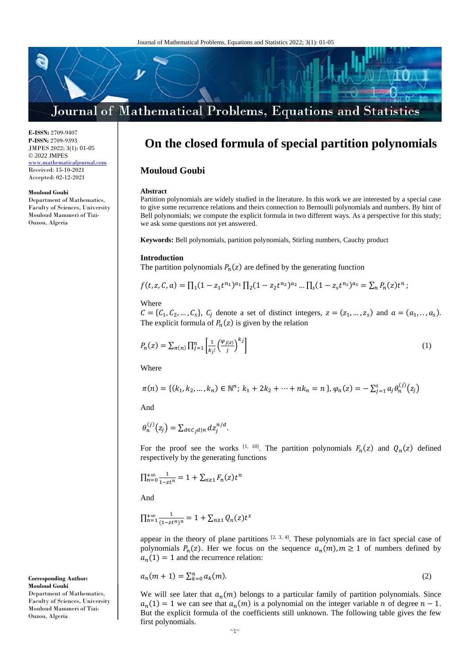

**E-ISSN:** 2709-9407 **P-ISSN:** 2709-9393 JMPES 2022; 3(1): 01-05 © 2022 JMPES <www.mathematicaljournal.com> Received: 15-10-2021 Accepted: 02-12-2021

#### **Mouloud Goubi**

Department of Mathematics, Faculty of Sciences, University Mouloud Mammeri of Tizi-Ouzou, Algeria

# **On the closed formula of special partition polynomials**

## **Mouloud Goubi**

#### **Abstract**

Partition polynomials are widely studied in the literature. In this work we are interested by a special case to give some recurrence relations and theirs connection to Bernoulli polynomials and numbers. By hint of Bell polynomials; we compute the explicit formula in two different ways. As a perspective for this study; we ask some questions not yet answered.

**Keywords:** Bell polynomials, partition polynomials, Stirling numbers, Cauchy product

#### **Introduction**

The partition polynomials  $P_n(z)$  are defined by the generating function

$$
f(t, z, \mathcal{C}, a) = \prod_{1} (1 - z_1 t^{n_1})^{a_1} \prod_{2} (1 - z_2 t^{n_2})^{a_2} \dots \prod_{s} (1 - z_s t^{n_s})^{a_s} = \sum_{n} P_n(z) t^n ;
$$

Where

 $C = \{C_1, C_2, ..., C_s\}, C_j$  denote a set of distinct integers,  $z = (z_1, ..., z_s)$  and  $a = (a_1, ..., a_s)$ . The explicit formula of  $P_n(z)$  is given by the relation

$$
P_n(z) = \sum_{\pi(n)} \prod_{j=1}^n \left[ \frac{1}{k_j!} \left( \frac{\varphi_{j(z)}}{j} \right)^{k_j} \right] \tag{1}
$$

Where

$$
\pi(n) = \{(k_1, k_2, ..., k_n) \in \mathbb{N}^n; k_1 + 2k_2 + \dots + nk_n = n\}, \varphi_n(z) = -\sum_{j=1}^s a_j \theta_n^{(j)}(z_j)
$$

And

$$
\theta_n^{(j)}(z_j) = \sum_{d \in C_j d|n} dz_j^{n/d}.
$$

For the proof see the works <sup>[1, 10]</sup>. The partition polynomials  $F_n(z)$  and  $Q_n(z)$  defined respectively by the generating functions

$$
\prod_{n=0}^{+\infty} \frac{1}{1-zt^n} = 1 + \sum_{n\geq 1} F_n(z)t^n
$$

And

$$
\prod_{n=1}^{+\infty} \frac{1}{(1-zt^n)^n} = 1 + \sum_{n \ge 1} Q_n(z)t^x
$$

appear in the theory of plane partitions  $[2, 3, 4]$ . These polynomials are in fact special case of polynomials  $P_n(z)$ . Her we focus on the sequence  $a_n(m)$ ,  $m \ge 1$  of numbers defined by  $a_n(1) = 1$  and the recurrence relation:

$$
a_n(m+1) = \sum_{k=0}^n a_k(m). \tag{2}
$$

We will see later that  $a_n(m)$  belongs to a particular family of partition polynomials. Since  $a_n(1) = 1$  we can see that  $a_n(m)$  is a polynomial on the integer variable *n* of degree  $n - 1$ . But the explicit formula of the coefficients still unknown. The following table gives the few first polynomials.

**Corresponding Author: Mouloud Goubi** Department of Mathematics, Faculty of Sciences, University Mouloud Mammeri of Tizi-Ouzou, Algeria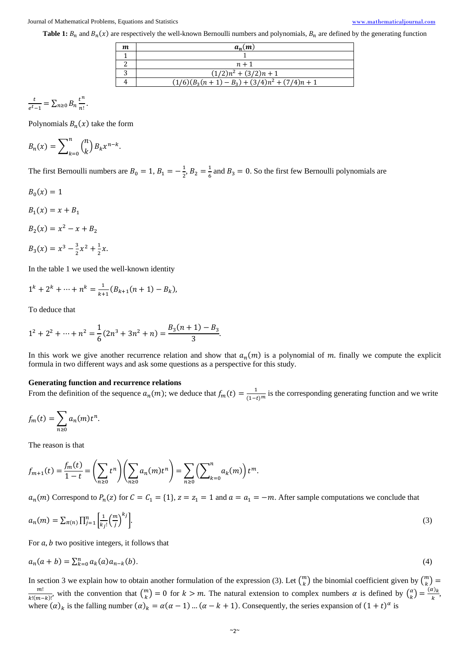**Table 1:**  $B_n$  and  $B_n(x)$  are respectively the well-known Bernoulli numbers and polynomials,  $B_n$  are defined by the generating function

| m | $a_n(m)$                                          |
|---|---------------------------------------------------|
|   |                                                   |
|   | $n+1$                                             |
|   | $(1/2)n^2 + (3/2)n + 1$                           |
|   | $(1/6)(B_3(n + 1) - B_3) + (3/4)n^2 + (7/4)n + 1$ |

$$
\frac{t}{e^t-1} = \sum_{n\geq 0} B_n \frac{t^n}{n!}.
$$

Polynomials  $B_n(x)$  take the form

$$
B_n(x) = \sum_{k=0}^n {n \choose k} B_k x^{n-k}.
$$

The first Bernoulli numbers are  $B_0 = 1, B_1 = -\frac{1}{2}$  $\frac{1}{2}$ ,  $B_2 = \frac{1}{6}$  $\frac{1}{6}$  and  $B_3 = 0$ . So the first few Bernoulli polynomials are

$$
B_0(x)=1
$$

 $B_1(x) = x + B_1$ 

$$
B_2(x) = x^2 - x + B_2
$$

$$
B_3(x) = x^3 - \frac{3}{2}x^2 + \frac{1}{2}x.
$$

In the table 1 we used the well-known identity

$$
1^k + 2^k + \dots + n^k = \frac{1}{k+1} (B_{k+1}(n+1) - B_k),
$$

To deduce that

$$
1^2 + 2^2 + \dots + n^2 = \frac{1}{6}(2n^3 + 3n^2 + n) = \frac{B_3(n+1) - B_3}{3}.
$$

In this work we give another recurrence relation and show that  $a_n(m)$  is a polynomial of m. finally we compute the explicit formula in two different ways and ask some questions as a perspective for this study.

## **Generating function and recurrence relations**

From the definition of the sequence  $a_n(m)$ ; we deduce that  $f_m(t) = \frac{1}{(1-t)^m}$  is the corresponding generating function and we write

$$
f_m(t) = \sum_{n \ge 0} a_n(m) t^n.
$$

The reason is that

$$
f_{m+1}(t) = \frac{f_m(t)}{1-t} = \left(\sum_{n\geq 0} t^n\right) \left(\sum_{n\geq 0} a_n(m)t^n\right) = \sum_{n\geq 0} \left(\sum_{k=0}^n a_k(m)\right) t^m.
$$

 $a_n(m)$  Correspond to  $P_n(z)$  for  $C = C_1 = \{1\}$ ,  $z = z_1 = 1$  and  $a = a_1 = -m$ . After sample computations we conclude that

$$
a_n(m) = \sum_{\pi(n)} \prod_{j=1}^n \left[ \frac{1}{k_j!} \left( \frac{m}{j} \right)^{kj} \right].
$$
 (3)

For  $a$ ,  $b$  two positive integers, it follows that

$$
a_n(a+b) = \sum_{k=0}^n a_k(a)a_{n-k}(b).
$$
 (4)

In section 3 we explain how to obtain another formulation of the expression (3). Let  $\binom{m}{k}$  $\binom{m}{k}$  the binomial coefficient given by  $\binom{m}{k}$  $\binom{m}{k}$  = m!  $\frac{m!}{k!(m-k)!}$  with the convention that  $\binom{m}{k}$  $\binom{m}{k}$  = 0 for  $k > m$ . The natural extension to complex numbers  $\alpha$  is defined by  $\binom{\alpha}{k}$  $\binom{\alpha}{k} = \frac{(\alpha)_k}{k}$  $\frac{k}{k}$ where  $(\alpha)_k$  is the falling number  $(\alpha)_k = \alpha(\alpha - 1)$  ...  $(\alpha - k + 1)$ . Consequently, the series expansion of  $(1 + t)^\alpha$  is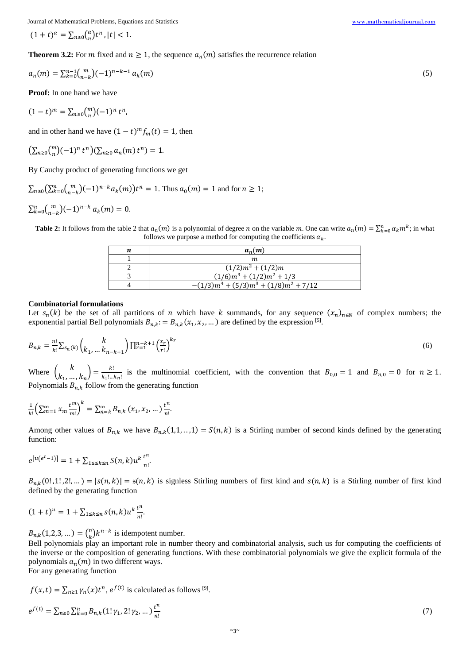Journal of Mathematical Problems, Equations and Statistics [www.mathematicaljournal.com](file://server/test/mathematicaljournal.com/issue/1%20Vol/1%20issue/www.mathematicaljournal.com)

$$
(1+t)^{\alpha} = \sum_{n\geq 0} {\alpha \choose n} t^n, |t| < 1.
$$

**Theorem 3.2:** For *m* fixed and  $n \ge 1$ , the sequence  $a_n(m)$  satisfies the recurrence relation

$$
a_n(m) = \sum_{k=0}^{n-1} {m \choose n-k} (-1)^{n-k-1} a_k(m) \tag{5}
$$

**Proof:** In one hand we have

$$
(1-t)^m = \sum_{n\geq 0} {m \choose n} (-1)^n t^n,
$$

and in other hand we have  $(1 - t)^m f_m(t) = 1$ , then

$$
\left(\sum_{n\geq 0} {m \choose n} (-1)^n t^n\right) \left(\sum_{n\geq 0} a_n(m) t^n\right) = 1.
$$

By Cauchy product of generating functions we get

$$
\sum_{n\geq 0} \left( \sum_{k=0}^{n} {m \choose n-k} (-1)^{n-k} a_k(m) \right) t^n = 1.
$$
 Thus  $a_0(m) = 1$  and for  $n \geq 1$ ;

$$
\sum_{k=0}^{n} {m \choose n-k} (-1)^{n-k} a_k(m) = 0.
$$

**Table 2:** It follows from the table 2 that  $a_n(m)$  is a polynomial of degree *n* on the variable *m*. One can write  $a_n(m) = \sum_{k=0}^n a_k m^k$ ; in what follows we purpose a method for computing the coefficients  $\alpha_k$ .

| $a_n(m)$                                       |
|------------------------------------------------|
| m                                              |
| $(1/2)m^2 + (1/2)m$                            |
| $(1/6)m^3 + (1/2)m^2 + 1/3$                    |
| $-(1/3)m^{4} + (5/3)m^{3} + (1/8)m^{2} + 7/12$ |

#### **Combinatorial formulations**

Let  $s_n(k)$  be the set of all partitions of *n* which have *k* summands, for any sequence  $(x_n)_{n\in\mathbb{N}}$  of complex numbers; the exponential partial Bell polynomials  $B_{n,k} := B_{n,k}(x_1, x_2, ...)$  are defined by the expression <sup>[5]</sup>.

$$
B_{n,k} = \frac{n!}{k!} \sum_{s_n(k)} \binom{k}{k_1, \dots k_{n-k+1}} \prod_{r=1}^{n-k+1} \left(\frac{x_r}{r!}\right)^{k_r} \tag{6}
$$

Where  $\begin{pmatrix} k \\ k \end{pmatrix}$  $\binom{k}{k_1, \dots, k_n} = \frac{k!}{k_1! \dots!}$  $\frac{k!}{k_1!...k_n!}$  is the multinomial coefficient, with the convention that  $B_{0,0} = 1$  and  $B_{n,0} = 0$  for  $n \ge 1$ . Polynomials  $B_{n,k}$  follow from the generating function

$$
\frac{1}{k!} \left( \sum_{m=1}^{\infty} x_m \frac{t^m}{m!} \right)^k = \sum_{n=k}^{\infty} B_{n,k} \left( x_1, x_2, \dots \right) \frac{t^n}{n!}.
$$

Among other values of  $B_{n,k}$  we have  $B_{n,k}(1,1,\ldots,1) = S(n,k)$  is a Stirling number of second kinds defined by the generating function:

$$
e^{[u(e^t - 1)]} = 1 + \sum_{1 \le k \le n} S(n, k) u^k \frac{t^n}{n!}.
$$

 $B_{n,k}(0!,1!,2!,...) = |s(n,k)| = s(n,k)$  is signless Stirling numbers of first kind and  $s(n,k)$  is a Stirling number of first kind defined by the generating function

$$
(1+t)^u = 1 + \sum_{1 \le k \le n} s(n,k) u^k \frac{t^n}{n!}.
$$

 $B_{n,k}(1,2,3,...) = {n \choose k}$  $\binom{n}{k} k^{n-k}$  is idempotent number.

Bell polynomials play an important role in number theory and combinatorial analysis, such us for computing the coefficients of the inverse or the composition of generating functions. With these combinatorial polynomials we give the explicit formula of the polynomials  $a_n(m)$  in two different ways.

For any generating function

$$
f(x,t) = \sum_{n\geq 1} \gamma_n(x)t^n
$$
,  $e^{f(t)}$  is calculated as follows <sup>[9]</sup>.

$$
e^{f(t)} = \sum_{n\geq 0} \sum_{k=0}^{n} B_{n,k} (1! \gamma_1, 2! \gamma_2, \dots) \frac{t^n}{n!}
$$
 (7)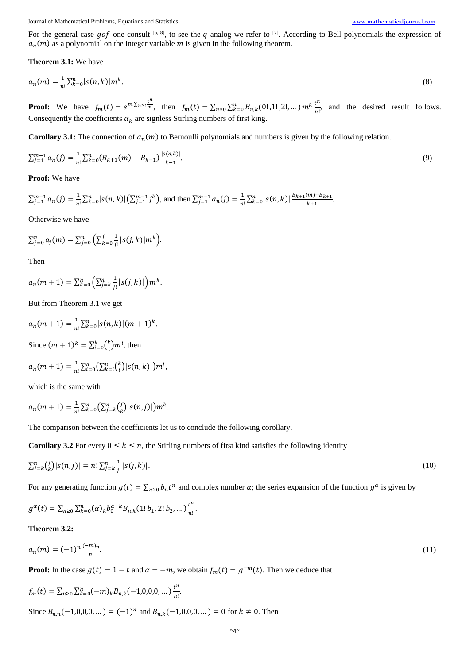Journal of Mathematical Problems, Equations and Statistics [www.mathematicaljournal.com](file://server/test/mathematicaljournal.com/issue/1%20Vol/1%20issue/www.mathematicaljournal.com)

For the general case gof one consult [6, 8], to see the q-analog we refer to [7]. According to Bell polynomials the expression of  $a_n(m)$  as a polynomial on the integer variable m is given in the following theorem.

**Theorem 3.1:** We have

$$
a_n(m) = \frac{1}{n!} \sum_{k=0}^n |s(n,k)| m^k. \tag{8}
$$

**Proof:** We have  $f_m(t) = e^{m \sum_{n=1}^{\infty} \frac{t^n}{n}}$ , then  $f_m(t) = \sum_{n\geq 0} \sum_{k=0}^n B_{n,k}(0^t, 1^t, 2^t, \dots) m^k \frac{t^n}{n!}$  $\frac{d^n}{n!}$ , and the desired result follows. Consequently the coefficients  $\alpha_k$  are signless Stirling numbers of first king.

**Corollary 3.1:** The connection of  $a_n(m)$  to Bernoulli polynomials and numbers is given by the following relation.

$$
\sum_{j=1}^{m-1} a_n(j) = \frac{1}{n!} \sum_{k=0}^n (B_{k+1}(m) - B_{k+1}) \frac{|s(n,k)|}{k+1}.
$$
\n(9)

**Proof:** We have

$$
\sum_{j=1}^{m-1} a_n(j) = \frac{1}{n!} \sum_{k=0}^{n} |s(n,k)| \left( \sum_{j=1}^{m-1} j^k \right), \text{ and then } \sum_{j=1}^{m-1} a_n(j) = \frac{1}{n!} \sum_{k=0}^{n} |s(n,k)| \frac{B_{k+1}(m) - B_{k+1}}{k+1}.
$$

Otherwise we have

$$
\sum_{j=0}^n a_j(m) = \sum_{j=0}^n \left( \sum_{k=0}^j \frac{1}{j!} |s(j,k)| m^k \right).
$$

Then

$$
a_n(m+1) = \sum_{k=0}^n \left( \sum_{j=k}^n \frac{1}{j!} |s(j,k)| \right) m^k.
$$

But from Theorem 3.1 we get

$$
a_n(m+1) = \frac{1}{n!} \sum_{k=0}^n |s(n,k)| (m+1)^k.
$$

Since  $(m + 1)^k = \sum_{i=0}^k {k \choose i}$  $_{i=0}^k {k \choose i} m^i$ , then

$$
a_n(m+1) = \frac{1}{n!} \sum_{i=0}^n \left( \sum_{k=i}^n {k \choose i} |s(n,k)| \right) m^i,
$$

which is the same with

$$
a_n(m+1) = \frac{1}{n!} \sum_{k=0}^n \left( \sum_{j=k}^n {j \choose k} |s(n,j)| \right) m^k.
$$

The comparison between the coefficients let us to conclude the following corollary.

**Corollary 3.2** For every  $0 \le k \le n$ , the Stirling numbers of first kind satisfies the following identity

$$
\sum_{j=k}^{n} {j \choose k} |s(n,j)| = n! \sum_{j=k}^{n} \frac{1}{j!} |s(j,k)|.
$$
\n(10)

For any generating function  $g(t) = \sum_{n\geq 0} b_n t^n$  and complex number  $\alpha$ ; the series expansion of the function  $g^{\alpha}$  is given by

$$
g^{\alpha}(t) = \sum_{n\geq 0} \sum_{k=0}^{n} (\alpha)_k b_0^{\alpha-k} B_{n,k} (1! b_1, 2! b_2, \dots) \frac{t^n}{n!}.
$$

**Theorem 3.2:**

$$
a_n(m) = (-1)^n \frac{(-m)_n}{n!}.
$$
\n(11)

**Proof:** In the case  $g(t) = 1 - t$  and  $\alpha = -m$ , we obtain  $f_m(t) = g^{-m}(t)$ . Then we deduce that

$$
f_m(t) = \sum_{n\geq 0} \sum_{k=0}^n (-m)_k B_{n,k}(-1,0,0,0,...) \frac{t^n}{n!}.
$$

Since  $B_{n,n}(-1,0,0,0,...) = (-1)^n$  and  $B_{n,k}(-1,0,0,0,...) = 0$  for  $k \neq 0$ . Then